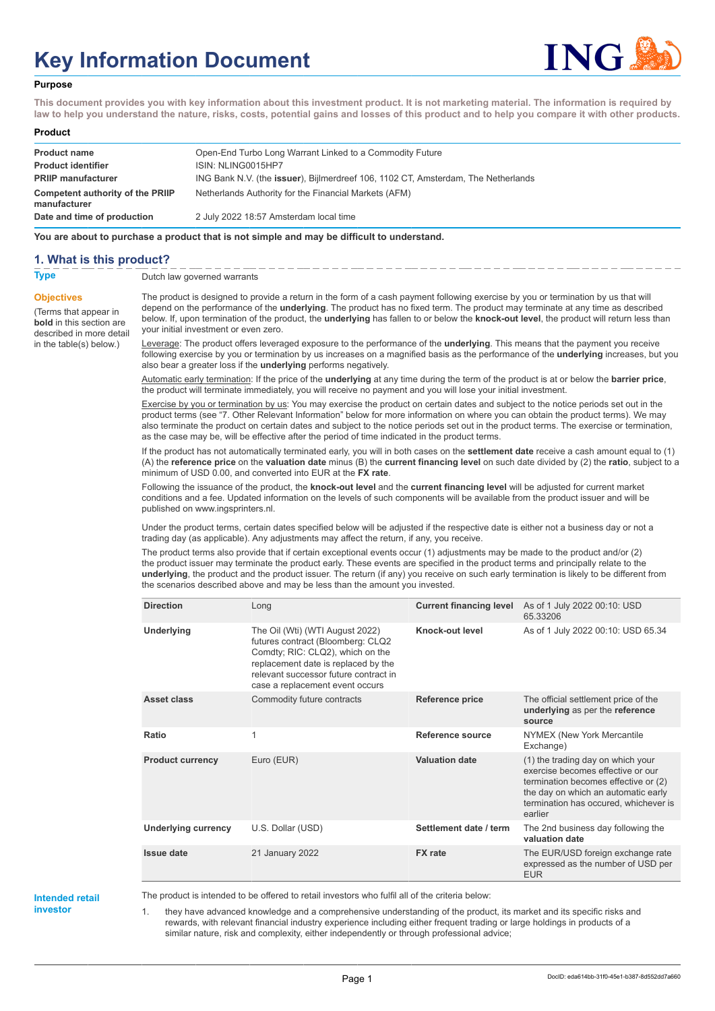# **Key Information Document**



#### **Purpose**

**This document provides you with key information about this investment product. It is not marketing material. The information is required by law to help you understand the nature, risks, costs, potential gains and losses of this product and to help you compare it with other products.**

#### **Product**

| <b>Product name</b><br><b>Product identifier</b> | Open-End Turbo Long Warrant Linked to a Commodity Future<br>ISIN: NLING0015HP7            |
|--------------------------------------------------|-------------------------------------------------------------------------------------------|
| <b>PRIIP manufacturer</b>                        | ING Bank N.V. (the <b>issuer</b> ), Bijlmerdreef 106, 1102 CT, Amsterdam, The Netherlands |
| Competent authority of the PRIIP<br>manufacturer | Netherlands Authority for the Financial Markets (AFM)                                     |
| Date and time of production                      | 2 July 2022 18:57 Amsterdam local time                                                    |

**You are about to purchase a product that is not simple and may be difficult to understand.**

### **1. What is this product?**

**Objectives**

(Terms that appear in **bold** in this section are

in the table(s) below.)

**Type** Dutch law governed warrants

described in more detail The product is designed to provide a return in the form of a cash payment following exercise by you or termination by us that will depend on the performance of the **underlying**. The product has no fixed term. The product may terminate at any time as described below. If, upon termination of the product, the **underlying** has fallen to or below the **knock-out level**, the product will return less than your initial investment or even zero.

> Leverage: The product offers leveraged exposure to the performance of the **underlying**. This means that the payment you receive following exercise by you or termination by us increases on a magnified basis as the performance of the **underlying** increases, but you also bear a greater loss if the **underlying** performs negatively.

Automatic early termination: If the price of the **underlying** at any time during the term of the product is at or below the **barrier price**, the product will terminate immediately, you will receive no payment and you will lose your initial investment.

Exercise by you or termination by us: You may exercise the product on certain dates and subject to the notice periods set out in the product terms (see "7. Other Relevant Information" below for more information on where you can obtain the product terms). We may also terminate the product on certain dates and subject to the notice periods set out in the product terms. The exercise or termination, as the case may be, will be effective after the period of time indicated in the product terms.

If the product has not automatically terminated early, you will in both cases on the **settlement date** receive a cash amount equal to (1) (A) the **reference price** on the **valuation date** minus (B) the **current financing level** on such date divided by (2) the **ratio**, subject to a minimum of USD 0.00, and converted into EUR at the **FX rate**.

Following the issuance of the product, the **knock-out level** and the **current financing level** will be adjusted for current market conditions and a fee. Updated information on the levels of such components will be available from the product issuer and will be published on www.ingsprinters.nl.

Under the product terms, certain dates specified below will be adjusted if the respective date is either not a business day or not a trading day (as applicable). Any adjustments may affect the return, if any, you receive.

The product terms also provide that if certain exceptional events occur (1) adjustments may be made to the product and/or (2) the product issuer may terminate the product early. These events are specified in the product terms and principally relate to the **underlying**, the product and the product issuer. The return (if any) you receive on such early termination is likely to be different from the scenarios described above and may be less than the amount you invested.

| <b>Direction</b>           | Long                                                                                                                                                                                                                        | <b>Current financing level</b> | As of 1 July 2022 00:10: USD<br>65.33206                                                                                                                                                                  |
|----------------------------|-----------------------------------------------------------------------------------------------------------------------------------------------------------------------------------------------------------------------------|--------------------------------|-----------------------------------------------------------------------------------------------------------------------------------------------------------------------------------------------------------|
| Underlying                 | The Oil (Wti) (WTI August 2022)<br>futures contract (Bloomberg: CLQ2<br>Comdty; RIC: CLQ2), which on the<br>replacement date is replaced by the<br>relevant successor future contract in<br>case a replacement event occurs | Knock-out level                | As of 1 July 2022 00:10: USD 65.34                                                                                                                                                                        |
| Asset class                | Commodity future contracts                                                                                                                                                                                                  | <b>Reference price</b>         | The official settlement price of the<br>underlying as per the reference<br>source                                                                                                                         |
| Ratio                      | 1                                                                                                                                                                                                                           | Reference source               | NYMEX (New York Mercantile<br>Exchange)                                                                                                                                                                   |
| <b>Product currency</b>    | Euro (EUR)                                                                                                                                                                                                                  | <b>Valuation date</b>          | (1) the trading day on which your<br>exercise becomes effective or our<br>termination becomes effective or (2)<br>the day on which an automatic early<br>termination has occured, whichever is<br>earlier |
| <b>Underlying currency</b> | U.S. Dollar (USD)                                                                                                                                                                                                           | Settlement date / term         | The 2nd business day following the<br>valuation date                                                                                                                                                      |
| <b>Issue date</b>          | 21 January 2022                                                                                                                                                                                                             | <b>FX</b> rate                 | The EUR/USD foreign exchange rate<br>expressed as the number of USD per<br><b>EUR</b>                                                                                                                     |

**Intended retail investor**

The product is intended to be offered to retail investors who fulfil all of the criteria below:

1. they have advanced knowledge and a comprehensive understanding of the product, its market and its specific risks and rewards, with relevant financial industry experience including either frequent trading or large holdings in products of a similar nature, risk and complexity, either independently or through professional advice;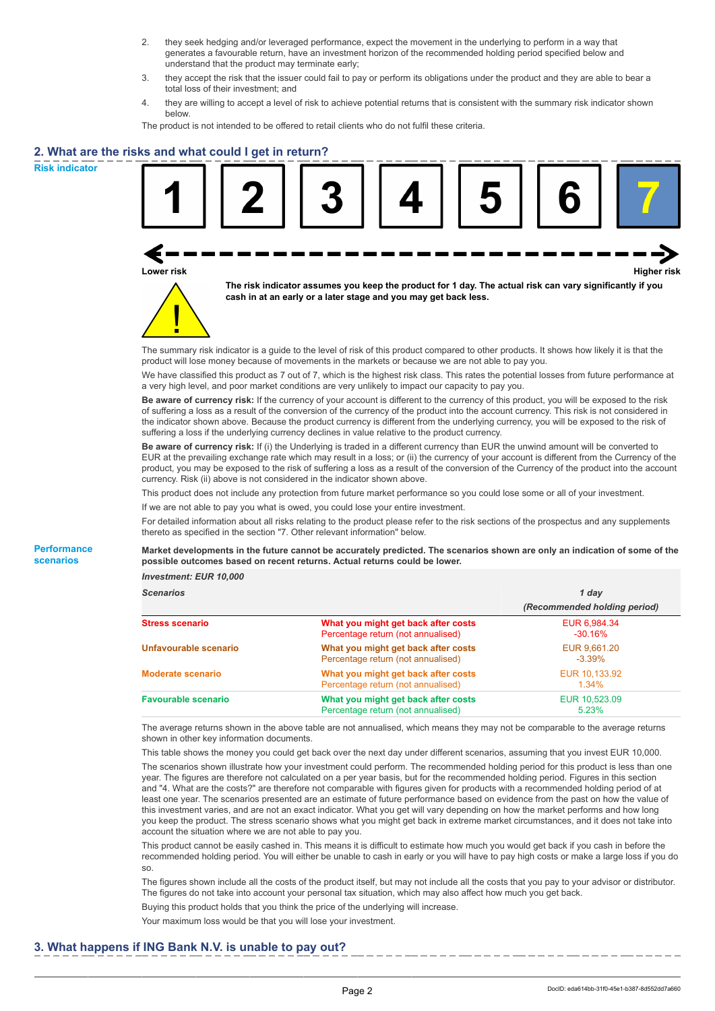- 2. they seek hedging and/or leveraged performance, expect the movement in the underlying to perform in a way that generates a favourable return, have an investment horizon of the recommended holding period specified below and understand that the product may terminate early;
- 3. they accept the risk that the issuer could fail to pay or perform its obligations under the product and they are able to bear a total loss of their investment; and
- 4. they are willing to accept a level of risk to achieve potential returns that is consistent with the summary risk indicator shown below.

The product is not intended to be offered to retail clients who do not fulfil these criteria.

## **2. What are the risks and what could I get in return?**

**Risk indicator**

**Performance scenarios**





**The risk indicator assumes you keep the product for 1 day. The actual risk can vary significantly if you cash in at an early or a later stage and you may get back less.**

The summary risk indicator is a guide to the level of risk of this product compared to other products. It shows how likely it is that the product will lose money because of movements in the markets or because we are not able to pay you.

We have classified this product as 7 out of 7, which is the highest risk class. This rates the potential losses from future performance at a very high level, and poor market conditions are very unlikely to impact our capacity to pay you.

**Be aware of currency risk:** If the currency of your account is different to the currency of this product, you will be exposed to the risk of suffering a loss as a result of the conversion of the currency of the product into the account currency. This risk is not considered in the indicator shown above. Because the product currency is different from the underlying currency, you will be exposed to the risk of suffering a loss if the underlying currency declines in value relative to the product currency.

**Be aware of currency risk:** If (i) the Underlying is traded in a different currency than EUR the unwind amount will be converted to EUR at the prevailing exchange rate which may result in a loss; or (ii) the currency of your account is different from the Currency of the product, you may be exposed to the risk of suffering a loss as a result of the conversion of the Currency of the product into the account currency. Risk (ii) above is not considered in the indicator shown above.

This product does not include any protection from future market performance so you could lose some or all of your investment.

If we are not able to pay you what is owed, you could lose your entire investment.

For detailed information about all risks relating to the product please refer to the risk sections of the prospectus and any supplements thereto as specified in the section "7. Other relevant information" below.

**Market developments in the future cannot be accurately predicted. The scenarios shown are only an indication of some of the possible outcomes based on recent returns. Actual returns could be lower.**

*Investment: EUR 10,000*

| <b>Scenarios</b>           |                                                                           | 1 day                        |  |
|----------------------------|---------------------------------------------------------------------------|------------------------------|--|
|                            |                                                                           | (Recommended holding period) |  |
| <b>Stress scenario</b>     | What you might get back after costs<br>Percentage return (not annualised) | EUR 6,984.34<br>$-30.16%$    |  |
| Unfavourable scenario      | What you might get back after costs<br>Percentage return (not annualised) | EUR 9.661.20<br>$-3.39%$     |  |
| <b>Moderate scenario</b>   | What you might get back after costs<br>Percentage return (not annualised) | EUR 10.133.92<br>1.34%       |  |
| <b>Favourable scenario</b> | What you might get back after costs<br>Percentage return (not annualised) | EUR 10,523.09<br>5.23%       |  |

The average returns shown in the above table are not annualised, which means they may not be comparable to the average returns shown in other key information documents.

This table shows the money you could get back over the next day under different scenarios, assuming that you invest EUR 10,000. The scenarios shown illustrate how your investment could perform. The recommended holding period for this product is less than one year. The figures are therefore not calculated on a per year basis, but for the recommended holding period. Figures in this section and "4. What are the costs?" are therefore not comparable with figures given for products with a recommended holding period of at least one year. The scenarios presented are an estimate of future performance based on evidence from the past on how the value of this investment varies, and are not an exact indicator. What you get will vary depending on how the market performs and how long you keep the product. The stress scenario shows what you might get back in extreme market circumstances, and it does not take into account the situation where we are not able to pay you.

This product cannot be easily cashed in. This means it is difficult to estimate how much you would get back if you cash in before the recommended holding period. You will either be unable to cash in early or you will have to pay high costs or make a large loss if you do so.

The figures shown include all the costs of the product itself, but may not include all the costs that you pay to your advisor or distributor. The figures do not take into account your personal tax situation, which may also affect how much you get back.

Buying this product holds that you think the price of the underlying will increase.

Your maximum loss would be that you will lose your investment.

## **3. What happens if ING Bank N.V. is unable to pay out?**